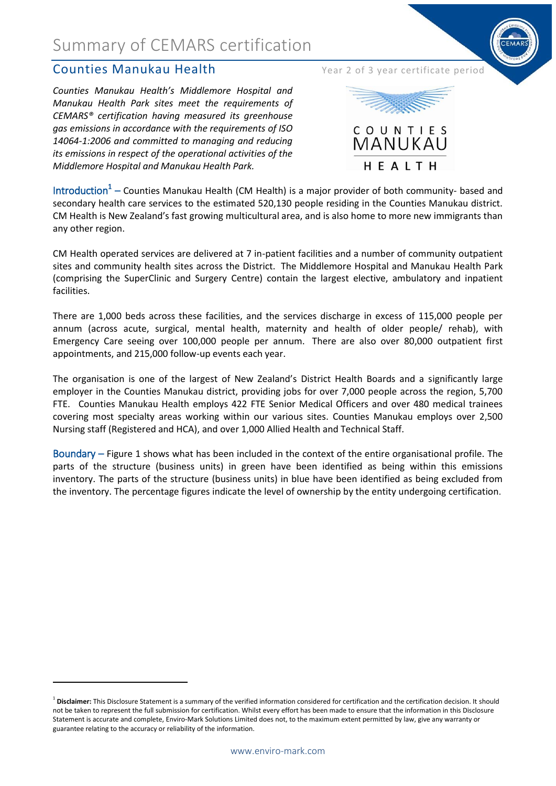## Summary of CEMARS certification

### Counties Manukau Health Year 2 of 3 year certificate period

**.** 

*Counties Manukau Health's Middlemore Hospital and Manukau Health Park sites meet the requirements of CEMARS® certification having measured its greenhouse gas emissions in accordance with the requirements of ISO 14064-1:2006 and committed to managing and reducing its emissions in respect of the operational activities of the Middlemore Hospital and Manukau Health Park.*



Introduction<sup>1</sup> – Counties Manukau Health (CM Health) is a major provider of both community- based and secondary health care services to the estimated 520,130 people residing in the Counties Manukau district. CM Health is New Zealand's fast growing multicultural area, and is also home to more new immigrants than any other region.

CM Health operated services are delivered at 7 in-patient facilities and a number of community outpatient sites and community health sites across the District. The Middlemore Hospital and Manukau Health Park (comprising the SuperClinic and Surgery Centre) contain the largest elective, ambulatory and inpatient facilities.

There are 1,000 beds across these facilities, and the services discharge in excess of 115,000 people per annum (across acute, surgical, mental health, maternity and health of older people/ rehab), with Emergency Care seeing over 100,000 people per annum. There are also over 80,000 outpatient first appointments, and 215,000 follow-up events each year.

The organisation is one of the largest of New Zealand's District Health Boards and a significantly large employer in the Counties Manukau district, providing jobs for over 7,000 people across the region, 5,700 FTE. Counties Manukau Health employs 422 FTE Senior Medical Officers and over 480 medical trainees covering most specialty areas working within our various sites. Counties Manukau employs over 2,500 Nursing staff (Registered and HCA), and over 1,000 Allied Health and Technical Staff.

Boundary – Figure 1 shows what has been included in the context of the entire organisational profile. The parts of the structure (business units) in green have been identified as being within this emissions inventory. The parts of the structure (business units) in blue have been identified as being excluded from the inventory. The percentage figures indicate the level of ownership by the entity undergoing certification.

<sup>&</sup>lt;sup>1</sup> Disclaimer: This Disclosure Statement is a summary of the verified information considered for certification and the certification decision. It should not be taken to represent the full submission for certification. Whilst every effort has been made to ensure that the information in this Disclosure Statement is accurate and complete, Enviro-Mark Solutions Limited does not, to the maximum extent permitted by law, give any warranty or guarantee relating to the accuracy or reliability of the information.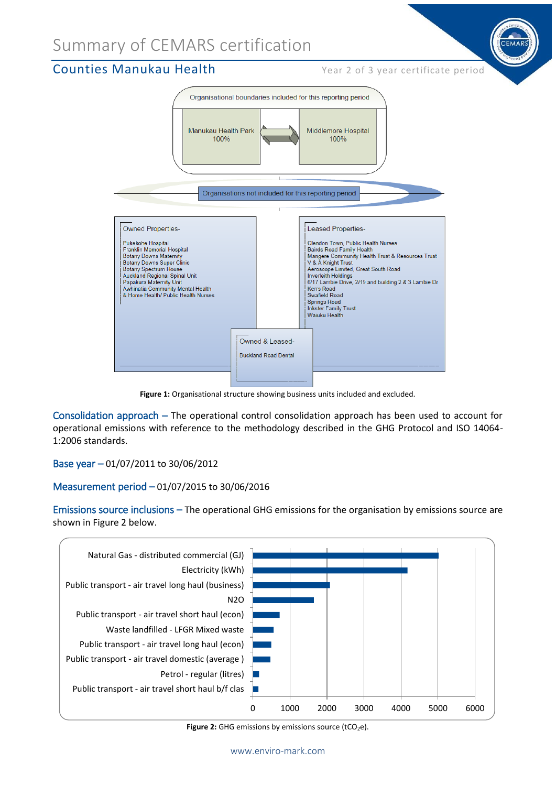## Summary of CEMARS certification

### **Counties Manukau Health** Year 2 of 3 year certificate period



**Figure 1:** Organisational structure showing business units included and excluded.

Consolidation approach – The operational control consolidation approach has been used to account for operational emissions with reference to the methodology described in the GHG Protocol and ISO 14064- 1:2006 standards.

Base year – 01/07/2011 to 30/06/2012

#### Measurement period – 01/07/2015 to 30/06/2016

Emissions source inclusions – The operational GHG emissions for the organisation by emissions source are shown in Figure 2 below.



Figure 2: GHG emissions by emissions source (tCO<sub>2</sub>e).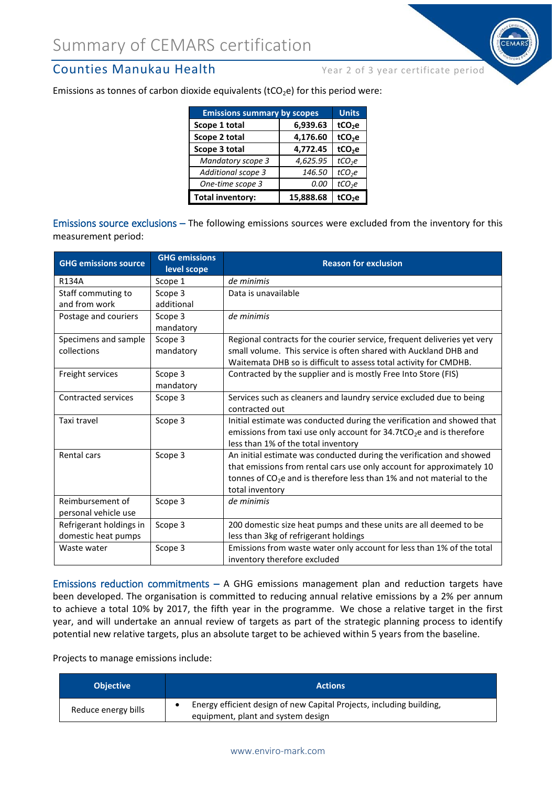### **Counties Manukau Health** Year 2 of 3 year certificate period

Emissions as tonnes of carbon dioxide equivalents ( $tCO<sub>2</sub>e$ ) for this period were:

| <b>Emissions summary by scopes</b> | <b>Units</b> |                    |
|------------------------------------|--------------|--------------------|
| Scope 1 total                      | 6,939.63     | tCO <sub>2</sub> e |
| Scope 2 total                      | 4,176.60     | tCO <sub>2</sub> e |
| Scope 3 total                      | 4,772.45     | tCO <sub>2</sub> e |
| <b>Mandatory scope 3</b>           | 4,625.95     | tCO <sub>2</sub> e |
| Additional scope 3                 | 146.50       | tCO <sub>2</sub> e |
| One-time scope 3                   | 0.00         | tCO <sub>2</sub> e |
| <b>Total inventory:</b>            | 15,888.68    | tCO <sub>2</sub> e |

Emissions source exclusions – The following emissions sources were excluded from the inventory for this measurement period:

| <b>GHG emissions source</b>                    | <b>GHG emissions</b><br>level scope | <b>Reason for exclusion</b>                                                                                                                                                                                                                |
|------------------------------------------------|-------------------------------------|--------------------------------------------------------------------------------------------------------------------------------------------------------------------------------------------------------------------------------------------|
| <b>R134A</b>                                   | Scope 1                             | de minimis                                                                                                                                                                                                                                 |
| Staff commuting to<br>and from work            | Scope 3                             | Data is unavailable                                                                                                                                                                                                                        |
|                                                | additional                          |                                                                                                                                                                                                                                            |
| Postage and couriers                           | Scope 3<br>mandatory                | de minimis                                                                                                                                                                                                                                 |
| Specimens and sample                           | Scope 3                             | Regional contracts for the courier service, frequent deliveries yet very                                                                                                                                                                   |
| collections                                    | mandatory                           | small volume. This service is often shared with Auckland DHB and<br>Waitemata DHB so is difficult to assess total activity for CMDHB.                                                                                                      |
| Freight services                               | Scope 3<br>mandatory                | Contracted by the supplier and is mostly Free Into Store (FIS)                                                                                                                                                                             |
| <b>Contracted services</b>                     | Scope 3                             | Services such as cleaners and laundry service excluded due to being<br>contracted out                                                                                                                                                      |
| Taxi travel                                    | Scope 3                             | Initial estimate was conducted during the verification and showed that<br>emissions from taxi use only account for $34.7$ tCO <sub>2</sub> e and is therefore<br>less than 1% of the total inventory                                       |
| Rental cars                                    | Scope 3                             | An initial estimate was conducted during the verification and showed<br>that emissions from rental cars use only account for approximately 10<br>tonnes of $CO2e$ and is therefore less than 1% and not material to the<br>total inventory |
| Reimbursement of<br>personal vehicle use       | Scope 3                             | de minimis                                                                                                                                                                                                                                 |
| Refrigerant holdings in<br>domestic heat pumps | Scope 3                             | 200 domestic size heat pumps and these units are all deemed to be<br>less than 3kg of refrigerant holdings                                                                                                                                 |
| Waste water                                    | Scope 3                             | Emissions from waste water only account for less than 1% of the total<br>inventory therefore excluded                                                                                                                                      |

Emissions reduction commitments  $-$  A GHG emissions management plan and reduction targets have been developed. The organisation is committed to reducing annual relative emissions by a 2% per annum to achieve a total 10% by 2017, the fifth year in the programme. We chose a relative target in the first year, and will undertake an annual review of targets as part of the strategic planning process to identify potential new relative targets, plus an absolute target to be achieved within 5 years from the baseline.

Projects to manage emissions include:

| <b>Objective</b>    | <b>Actions</b>                                                                                             |
|---------------------|------------------------------------------------------------------------------------------------------------|
| Reduce energy bills | Energy efficient design of new Capital Projects, including building,<br>equipment, plant and system design |